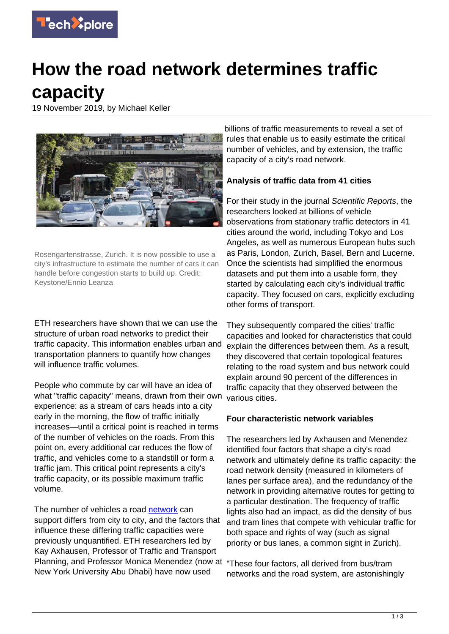

## **How the road network determines traffic capacity**

19 November 2019, by Michael Keller



Rosengartenstrasse, Zurich. It is now possible to use a city's infrastructure to estimate the number of cars it can handle before congestion starts to build up. Credit: Keystone/Ennio Leanza

ETH researchers have shown that we can use the structure of urban road networks to predict their traffic capacity. This information enables urban and transportation planners to quantify how changes will influence traffic volumes.

People who commute by car will have an idea of what "traffic capacity" means, drawn from their own experience: as a stream of cars heads into a city early in the morning, the flow of traffic initially increases—until a critical point is reached in terms of the number of vehicles on the roads. From this point on, every additional car reduces the flow of traffic, and vehicles come to a standstill or form a traffic jam. This critical point represents a city's traffic capacity, or its possible maximum traffic volume.

The number of vehicles a road [network](https://techxplore.com/tags/network/) can support differs from city to city, and the factors that influence these differing traffic capacities were previously unquantified. ETH researchers led by Kay Axhausen, Professor of Traffic and Transport Planning, and Professor Monica Menendez (now at "These four factors, all derived from bus/tram New York University Abu Dhabi) have now used

billions of traffic measurements to reveal a set of rules that enable us to easily estimate the critical number of vehicles, and by extension, the traffic capacity of a city's road network.

## **Analysis of traffic data from 41 cities**

For their study in the journal Scientific Reports, the researchers looked at billions of vehicle observations from stationary traffic detectors in 41 cities around the world, including Tokyo and Los Angeles, as well as numerous European hubs such as Paris, London, Zurich, Basel, Bern and Lucerne. Once the scientists had simplified the enormous datasets and put them into a usable form, they started by calculating each city's individual traffic capacity. They focused on cars, explicitly excluding other forms of transport.

They subsequently compared the cities' traffic capacities and looked for characteristics that could explain the differences between them. As a result, they discovered that certain topological features relating to the road system and bus network could explain around 90 percent of the differences in traffic capacity that they observed between the various cities.

## **Four characteristic network variables**

The researchers led by Axhausen and Menendez identified four factors that shape a city's road network and ultimately define its traffic capacity: the road network density (measured in kilometers of lanes per surface area), and the redundancy of the network in providing alternative routes for getting to a particular destination. The frequency of traffic lights also had an impact, as did the density of bus and tram lines that compete with vehicular traffic for both space and rights of way (such as signal priority or bus lanes, a common sight in Zurich).

networks and the road system, are astonishingly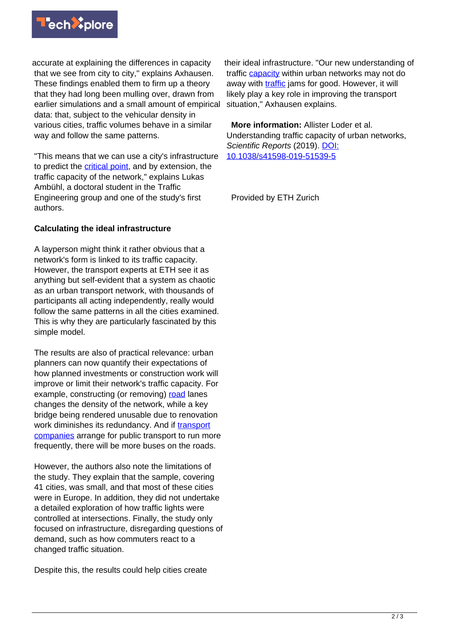

accurate at explaining the differences in capacity that we see from city to city," explains Axhausen. These findings enabled them to firm up a theory that they had long been mulling over, drawn from earlier simulations and a small amount of empirical data: that, subject to the vehicular density in various cities, traffic volumes behave in a similar way and follow the same patterns.

"This means that we can use a city's infrastructure to predict the [critical point](https://techxplore.com/tags/critical+point/), and by extension, the traffic capacity of the network," explains Lukas Ambühl, a doctoral student in the Traffic Engineering group and one of the study's first authors.

## **Calculating the ideal infrastructure**

A layperson might think it rather obvious that a network's form is linked to its traffic capacity. However, the transport experts at ETH see it as anything but self-evident that a system as chaotic as an urban transport network, with thousands of participants all acting independently, really would follow the same patterns in all the cities examined. This is why they are particularly fascinated by this simple model.

The results are also of practical relevance: urban planners can now quantify their expectations of how planned investments or construction work will improve or limit their network's traffic capacity. For example, constructing (or removing) [road](https://techxplore.com/tags/road/) lanes changes the density of the network, while a key bridge being rendered unusable due to renovation work diminishes its redundancy. And if [transport](https://techxplore.com/tags/transport+companies/) [companies](https://techxplore.com/tags/transport+companies/) arrange for public transport to run more frequently, there will be more buses on the roads.

However, the authors also note the limitations of the study. They explain that the sample, covering 41 cities, was small, and that most of these cities were in Europe. In addition, they did not undertake a detailed exploration of how traffic lights were controlled at intersections. Finally, the study only focused on infrastructure, disregarding questions of demand, such as how commuters react to a changed traffic situation.

Despite this, the results could help cities create

their ideal infrastructure. "Our new understanding of traffic [capacity](https://techxplore.com/tags/capacity/) within urban networks may not do away with [traffic](https://techxplore.com/tags/traffic/) jams for good. However, it will likely play a key role in improving the transport situation," Axhausen explains.

 **More information:** Allister Loder et al. Understanding traffic capacity of urban networks, Scientific Reports (2019). [DOI:](http://dx.doi.org/10.1038/s41598-019-51539-5) [10.1038/s41598-019-51539-5](http://dx.doi.org/10.1038/s41598-019-51539-5)

Provided by ETH Zurich